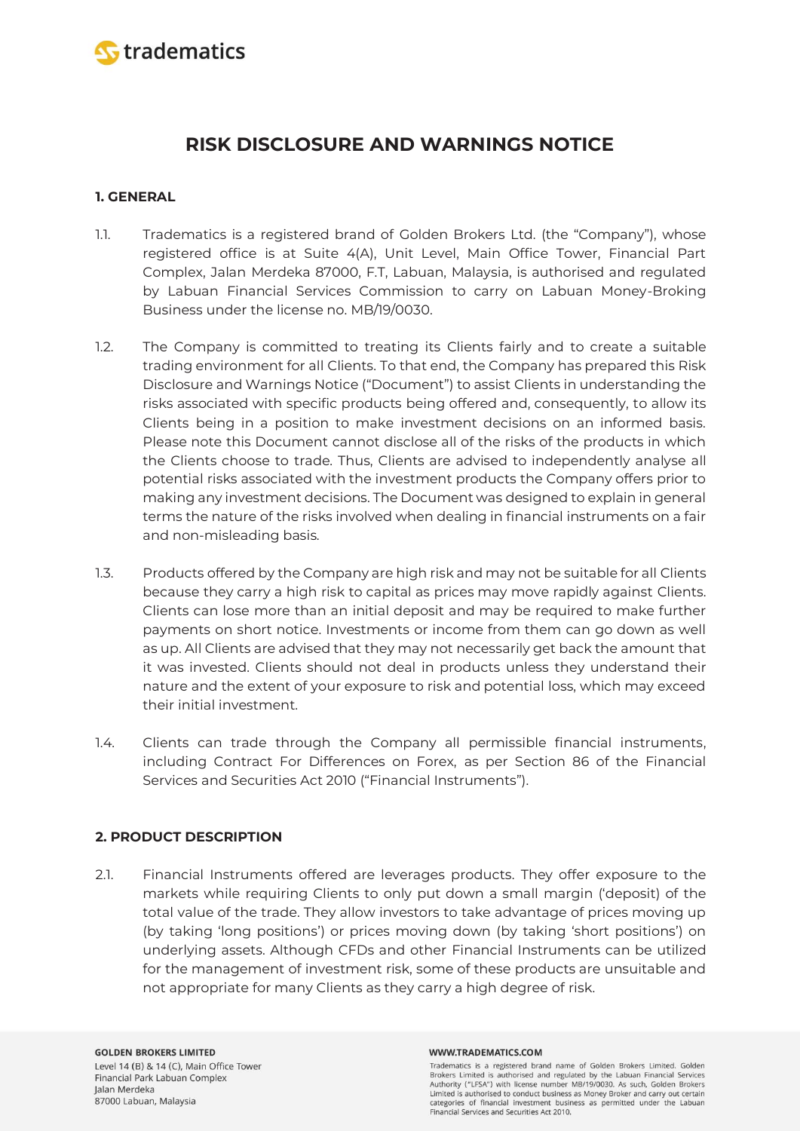

# **RISK DISCLOSURE AND WARNINGS NOTICE**

# **1. GENERAL**

- 1.1. Tradematics is a registered brand of Golden Brokers Ltd. (the "Company"), whose registered office is at Suite 4(A), Unit Level, Main Office Tower, Financial Part Complex, Jalan Merdeka 87000, F.T, Labuan, Malaysia, is authorised and regulated by Labuan Financial Services Commission to carry on Labuan Money-Broking Business under the license no. MB/19/0030.
- 1.2. The Company is committed to treating its Clients fairly and to create a suitable trading environment for all Clients. To that end, the Company has prepared this Risk Disclosure and Warnings Notice ("Document") to assist Clients in understanding the risks associated with specific products being offered and, consequently, to allow its Clients being in a position to make investment decisions on an informed basis. Please note this Document cannot disclose all of the risks of the products in which the Clients choose to trade. Thus, Clients are advised to independently analyse all potential risks associated with the investment products the Company offers prior to making any investment decisions. The Document was designed to explain in general terms the nature of the risks involved when dealing in financial instruments on a fair and non-misleading basis.
- 1.3. Products offered by the Company are high risk and may not be suitable for all Clients because they carry a high risk to capital as prices may move rapidly against Clients. Clients can lose more than an initial deposit and may be required to make further payments on short notice. Investments or income from them can go down as well as up. All Clients are advised that they may not necessarily get back the amount that it was invested. Clients should not deal in products unless they understand their nature and the extent of your exposure to risk and potential loss, which may exceed their initial investment.
- 1.4. Clients can trade through the Company all permissible financial instruments, including Contract For Differences on Forex, as per Section 86 of the Financial Services and Securities Act 2010 ("Financial Instruments").

# **2. PRODUCT DESCRIPTION**

2.1. Financial Instruments offered are leverages products. They offer exposure to the markets while requiring Clients to only put down a small margin ('deposit) of the total value of the trade. They allow investors to take advantage of prices moving up (by taking 'long positions') or prices moving down (by taking 'short positions') on underlying assets. Although CFDs and other Financial Instruments can be utilized for the management of investment risk, some of these products are unsuitable and not appropriate for many Clients as they carry a high degree of risk.

#### WWW.TRADEMATICS.COM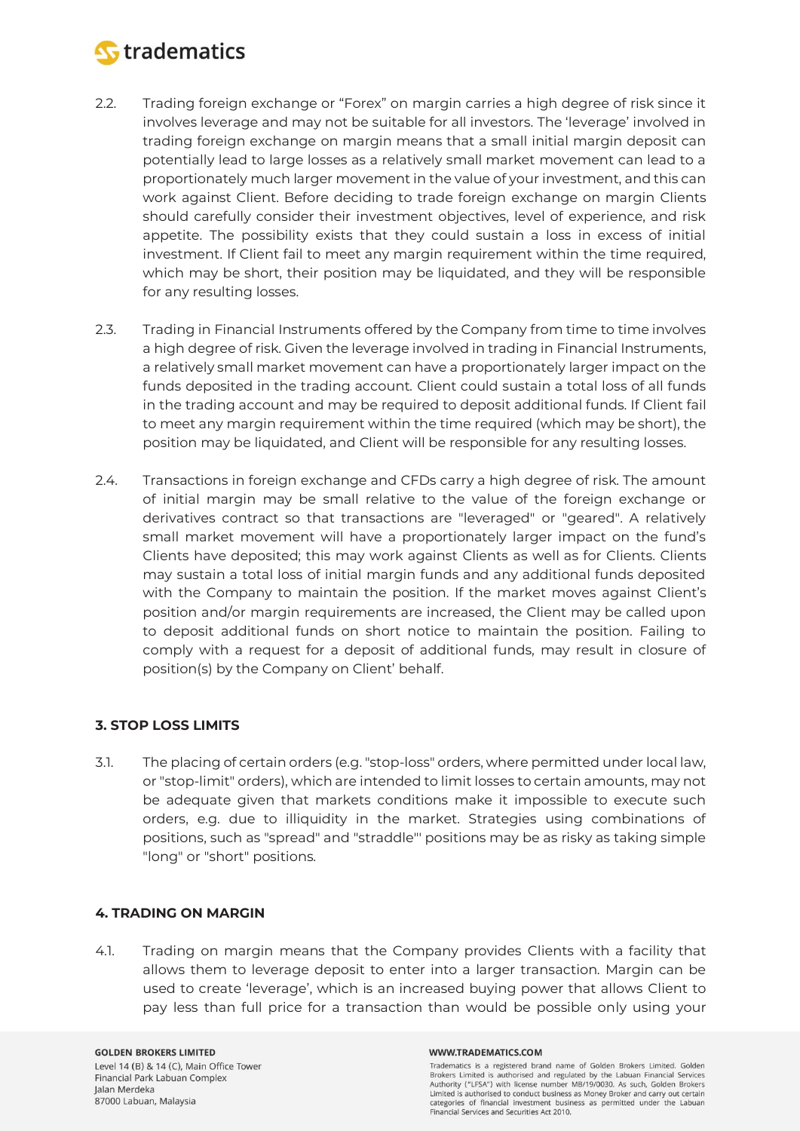

- 2.2. Trading foreign exchange or "Forex" on margin carries a high degree of risk since it involves leverage and may not be suitable for all investors. The 'leverage' involved in trading foreign exchange on margin means that a small initial margin deposit can potentially lead to large losses as a relatively small market movement can lead to a proportionately much larger movement in the value of your investment, and this can work against Client. Before deciding to trade foreign exchange on margin Clients should carefully consider their investment objectives, level of experience, and risk appetite. The possibility exists that they could sustain a loss in excess of initial investment. If Client fail to meet any margin requirement within the time required, which may be short, their position may be liquidated, and they will be responsible for any resulting losses.
- 2.3. Trading in Financial Instruments offered by the Company from time to time involves a high degree of risk. Given the leverage involved in trading in Financial Instruments, a relatively small market movement can have a proportionately larger impact on the funds deposited in the trading account. Client could sustain a total loss of all funds in the trading account and may be required to deposit additional funds. If Client fail to meet any margin requirement within the time required (which may be short), the position may be liquidated, and Client will be responsible for any resulting losses.
- 2.4. Transactions in foreign exchange and CFDs carry a high degree of risk. The amount of initial margin may be small relative to the value of the foreign exchange or derivatives contract so that transactions are "leveraged" or "geared". A relatively small market movement will have a proportionately larger impact on the fund's Clients have deposited; this may work against Clients as well as for Clients. Clients may sustain a total loss of initial margin funds and any additional funds deposited with the Company to maintain the position. If the market moves against Client's position and/or margin requirements are increased, the Client may be called upon to deposit additional funds on short notice to maintain the position. Failing to comply with a request for a deposit of additional funds, may result in closure of position(s) by the Company on Client' behalf.

# **3. STOP LOSS LIMITS**

3.1. The placing of certain orders (e.g. "stop-loss" orders, where permitted under local law, or "stop-limit" orders), which are intended to limit losses to certain amounts, may not be adequate given that markets conditions make it impossible to execute such orders, e.g. due to illiquidity in the market. Strategies using combinations of positions, such as "spread" and "straddle"' positions may be as risky as taking simple "long" or "short" positions.

### **4. TRADING ON MARGIN**

4.1. Trading on margin means that the Company provides Clients with a facility that allows them to leverage deposit to enter into a larger transaction. Margin can be used to create 'leverage', which is an increased buying power that allows Client to pay less than full price for a transaction than would be possible only using your

**GOLDEN BROKERS LIMITED** Level 14 (B) & 14 (C), Main Office Tower Financial Park Labuan Complex Jalan Merdeka 87000 Labuan, Malaysia

#### WWW.TRADEMATICS.COM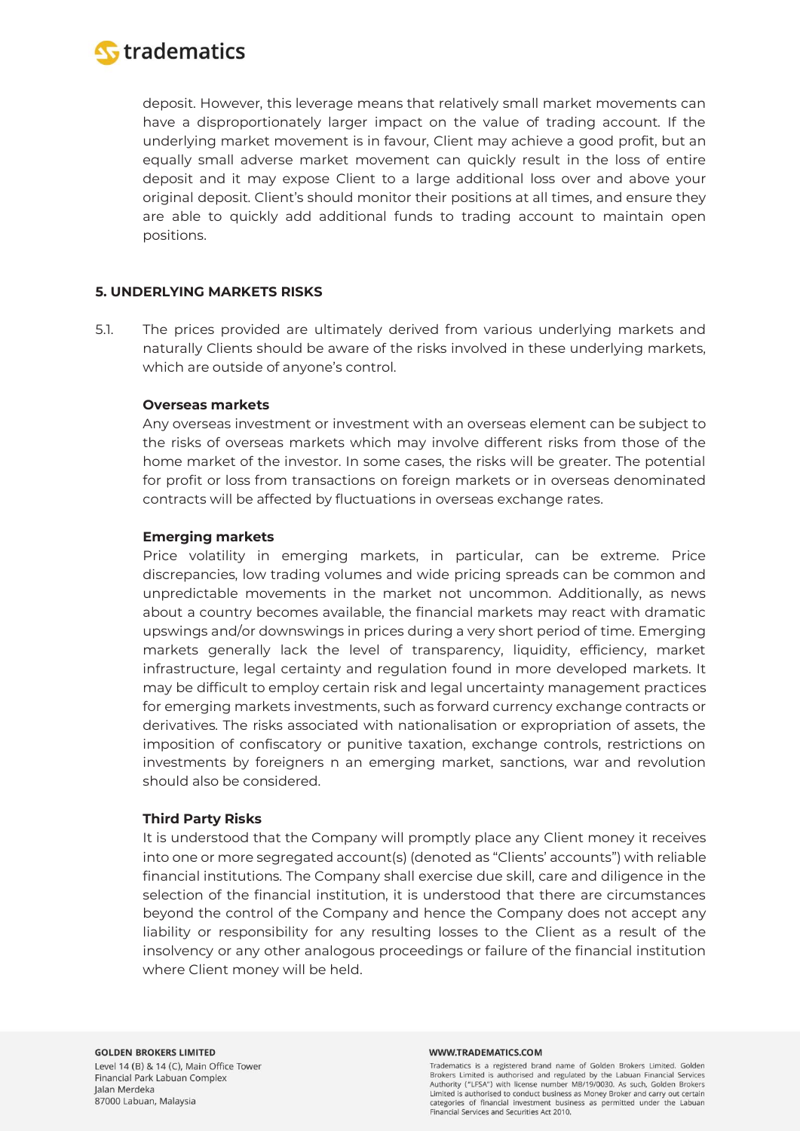

deposit. However, this leverage means that relatively small market movements can have a disproportionately larger impact on the value of trading account. If the underlying market movement is in favour, Client may achieve a good profit, but an equally small adverse market movement can quickly result in the loss of entire deposit and it may expose Client to a large additional loss over and above your original deposit. Client's should monitor their positions at all times, and ensure they are able to quickly add additional funds to trading account to maintain open positions.

## **5. UNDERLYING MARKETS RISKS**

5.1. The prices provided are ultimately derived from various underlying markets and naturally Clients should be aware of the risks involved in these underlying markets, which are outside of anyone's control.

### **Overseas markets**

Any overseas investment or investment with an overseas element can be subject to the risks of overseas markets which may involve different risks from those of the home market of the investor. In some cases, the risks will be greater. The potential for profit or loss from transactions on foreign markets or in overseas denominated contracts will be affected by fluctuations in overseas exchange rates.

### **Emerging markets**

Price volatility in emerging markets, in particular, can be extreme. Price discrepancies, low trading volumes and wide pricing spreads can be common and unpredictable movements in the market not uncommon. Additionally, as news about a country becomes available, the financial markets may react with dramatic upswings and/or downswings in prices during a very short period of time. Emerging markets generally lack the level of transparency, liquidity, efficiency, market infrastructure, legal certainty and regulation found in more developed markets. It may be difficult to employ certain risk and legal uncertainty management practices for emerging markets investments, such as forward currency exchange contracts or derivatives. The risks associated with nationalisation or expropriation of assets, the imposition of confiscatory or punitive taxation, exchange controls, restrictions on investments by foreigners n an emerging market, sanctions, war and revolution should also be considered.

### **Third Party Risks**

It is understood that the Company will promptly place any Client money it receives into one or more segregated account(s) (denoted as "Clients' accounts") with reliable financial institutions. The Company shall exercise due skill, care and diligence in the selection of the financial institution, it is understood that there are circumstances beyond the control of the Company and hence the Company does not accept any liability or responsibility for any resulting losses to the Client as a result of the insolvency or any other analogous proceedings or failure of the financial institution where Client money will be held.

#### WWW.TRADEMATICS.COM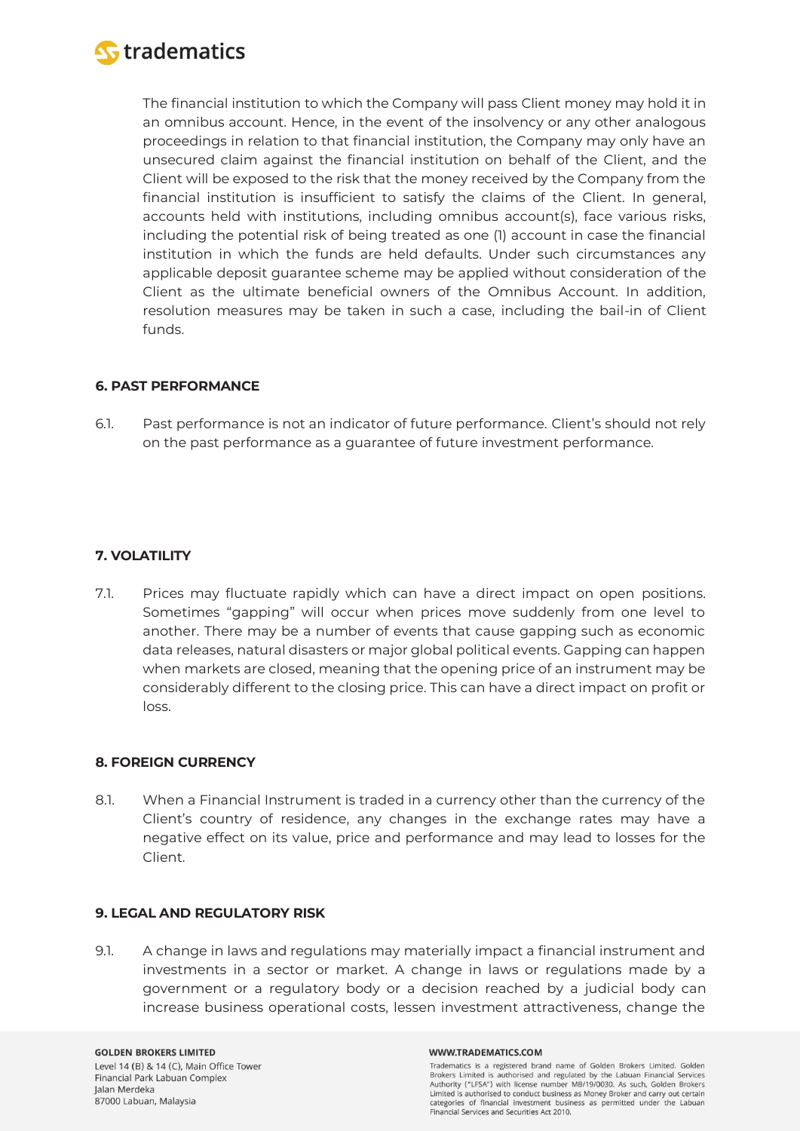

The financial institution to which the Company will pass Client money may hold it in an omnibus account. Hence, in the event of the insolvency or any other analogous proceedings in relation to that financial institution, the Company may only have an unsecured claim against the financial institution on behalf of the Client, and the Client will be exposed to the risk that the money received by the Company from the financial institution is insufficient to satisfy the claims of the Client. In general, accounts held with institutions, including omnibus account(s), face various risks, including the potential risk of being treated as one (1) account in case the financial institution in which the funds are held defaults. Under such circumstances any applicable deposit guarantee scheme may be applied without consideration of the Client as the ultimate beneficial owners of the Omnibus Account. In addition, resolution measures may be taken in such a case, including the bail-in of Client funds.

# **6. PAST PERFORMANCE**

6.1. Past performance is not an indicator of future performance. Client's should not rely on the past performance as a guarantee of future investment performance.

# **7. VOLATILITY**

7.1. Prices may fluctuate rapidly which can have a direct impact on open positions. Sometimes "gapping" will occur when prices move suddenly from one level to another. There may be a number of events that cause gapping such as economic data releases, natural disasters or major global political events. Gapping can happen when markets are closed, meaning that the opening price of an instrument may be considerably different to the closing price. This can have a direct impact on profit or loss.

### **8. FOREIGN CURRENCY**

8.1. When a Financial Instrument is traded in a currency other than the currency of the Client's country of residence, any changes in the exchange rates may have a negative effect on its value, price and performance and may lead to losses for the Client.

### **9. LEGAL AND REGULATORY RISK**

9.1. A change in laws and regulations may materially impact a financial instrument and investments in a sector or market. A change in laws or regulations made by a government or a regulatory body or a decision reached by a judicial body can increase business operational costs, lessen investment attractiveness, change the

#### WWW.TRADEMATICS.COM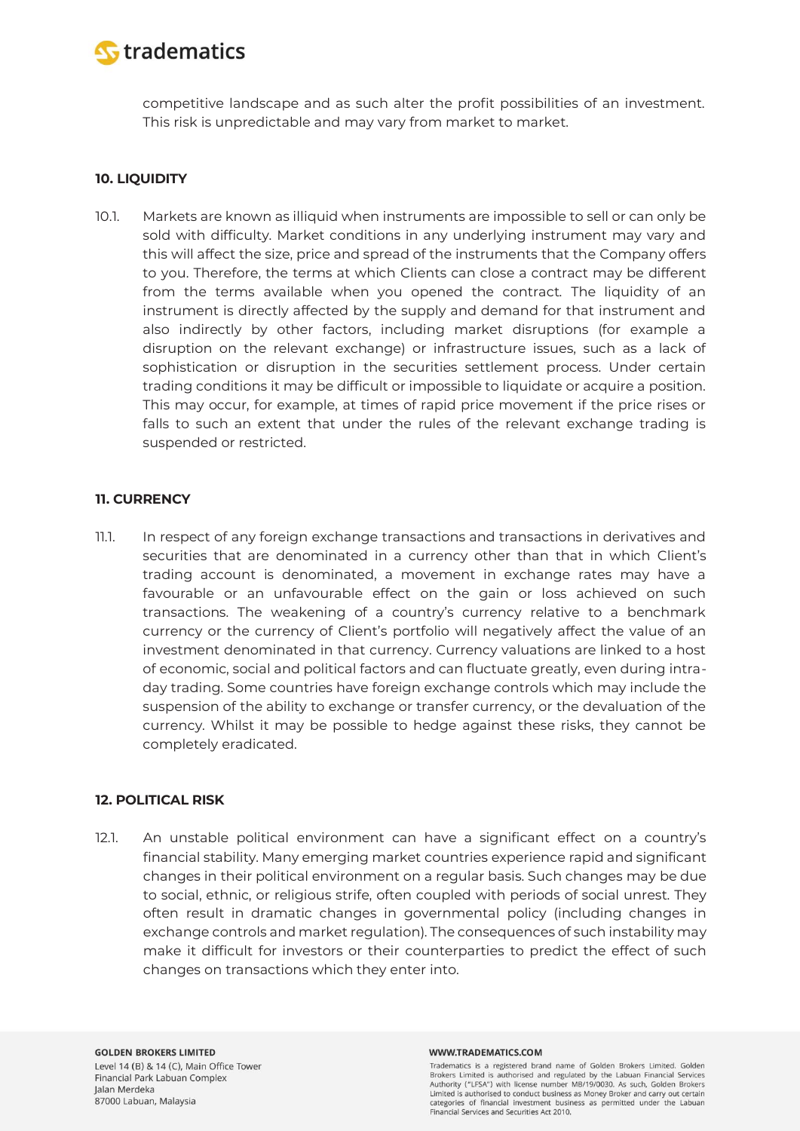

competitive landscape and as such alter the profit possibilities of an investment. This risk is unpredictable and may vary from market to market.

# **10. LIQUIDITY**

10.1. Markets are known as illiquid when instruments are impossible to sell or can only be sold with difficulty. Market conditions in any underlying instrument may vary and this will affect the size, price and spread of the instruments that the Company offers to you. Therefore, the terms at which Clients can close a contract may be different from the terms available when you opened the contract. The liquidity of an instrument is directly affected by the supply and demand for that instrument and also indirectly by other factors, including market disruptions (for example a disruption on the relevant exchange) or infrastructure issues, such as a lack of sophistication or disruption in the securities settlement process. Under certain trading conditions it may be difficult or impossible to liquidate or acquire a position. This may occur, for example, at times of rapid price movement if the price rises or falls to such an extent that under the rules of the relevant exchange trading is suspended or restricted.

# **11. CURRENCY**

11.1. In respect of any foreign exchange transactions and transactions in derivatives and securities that are denominated in a currency other than that in which Client's trading account is denominated, a movement in exchange rates may have a favourable or an unfavourable effect on the gain or loss achieved on such transactions. The weakening of a country's currency relative to a benchmark currency or the currency of Client's portfolio will negatively affect the value of an investment denominated in that currency. Currency valuations are linked to a host of economic, social and political factors and can fluctuate greatly, even during intraday trading. Some countries have foreign exchange controls which may include the suspension of the ability to exchange or transfer currency, or the devaluation of the currency. Whilst it may be possible to hedge against these risks, they cannot be completely eradicated.

### **12. POLITICAL RISK**

12.1. An unstable political environment can have a significant effect on a country's financial stability. Many emerging market countries experience rapid and significant changes in their political environment on a regular basis. Such changes may be due to social, ethnic, or religious strife, often coupled with periods of social unrest. They often result in dramatic changes in governmental policy (including changes in exchange controls and market regulation). The consequences of such instability may make it difficult for investors or their counterparties to predict the effect of such changes on transactions which they enter into.

#### WWW.TRADEMATICS.COM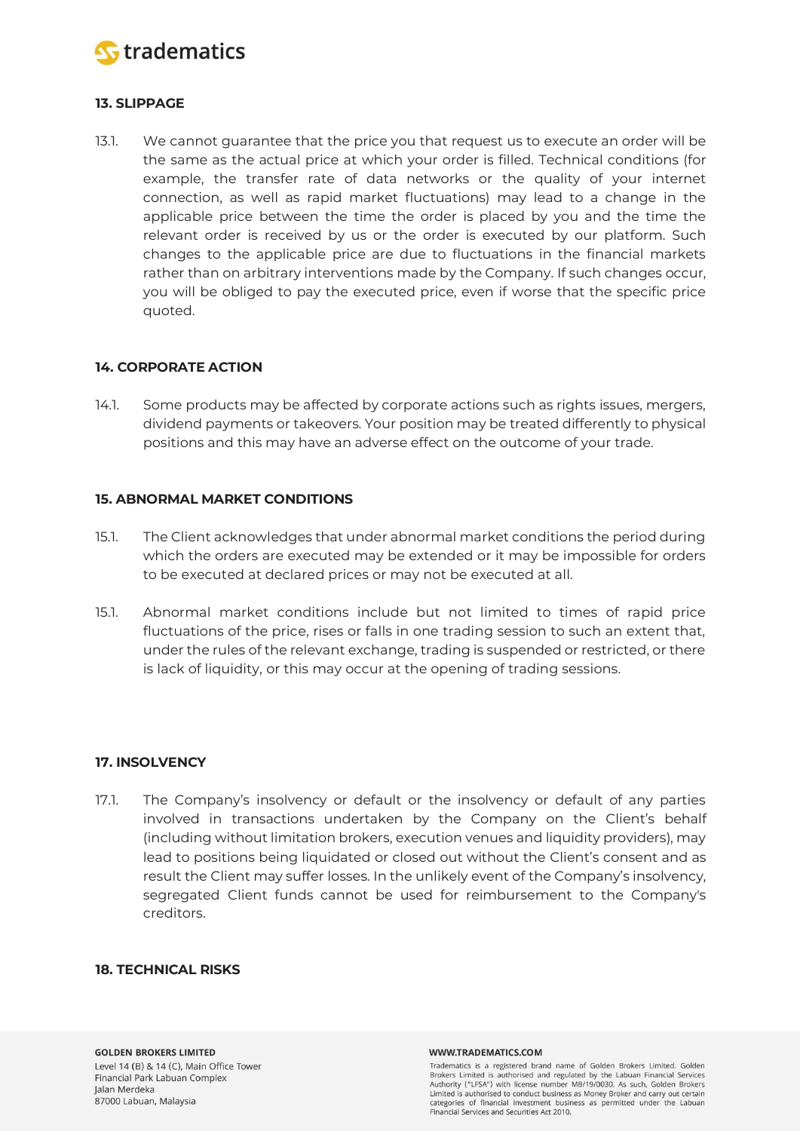

# **13. SLIPPAGE**

13.1. We cannot guarantee that the price you that request us to execute an order will be the same as the actual price at which your order is filled. Technical conditions (for example, the transfer rate of data networks or the quality of your internet connection, as well as rapid market fluctuations) may lead to a change in the applicable price between the time the order is placed by you and the time the relevant order is received by us or the order is executed by our platform. Such changes to the applicable price are due to fluctuations in the financial markets rather than on arbitrary interventions made by the Company. If such changes occur, you will be obliged to pay the executed price, even if worse that the specific price quoted.

### **14. CORPORATE ACTION**

14.1. Some products may be affected by corporate actions such as rights issues, mergers, dividend payments or takeovers. Your position may be treated differently to physical positions and this may have an adverse effect on the outcome of your trade.

### **15. ABNORMAL MARKET CONDITIONS**

- 15.1. The Client acknowledges that under abnormal market conditions the period during which the orders are executed may be extended or it may be impossible for orders to be executed at declared prices or may not be executed at all.
- 15.1. Abnormal market conditions include but not limited to times of rapid price fluctuations of the price, rises or falls in one trading session to such an extent that, under the rules of the relevant exchange, trading is suspended or restricted, or there is lack of liquidity, or this may occur at the opening of trading sessions.

### **17. INSOLVENCY**

17.1. The Company's insolvency or default or the insolvency or default of any parties involved in transactions undertaken by the Company on the Client's behalf (including without limitation brokers, execution venues and liquidity providers), may lead to positions being liquidated or closed out without the Client's consent and as result the Client may suffer losses. In the unlikely event of the Company's insolvency, segregated Client funds cannot be used for reimbursement to the Company's creditors.

#### **18. TECHNICAL RISKS**

#### WWW.TRADEMATICS.COM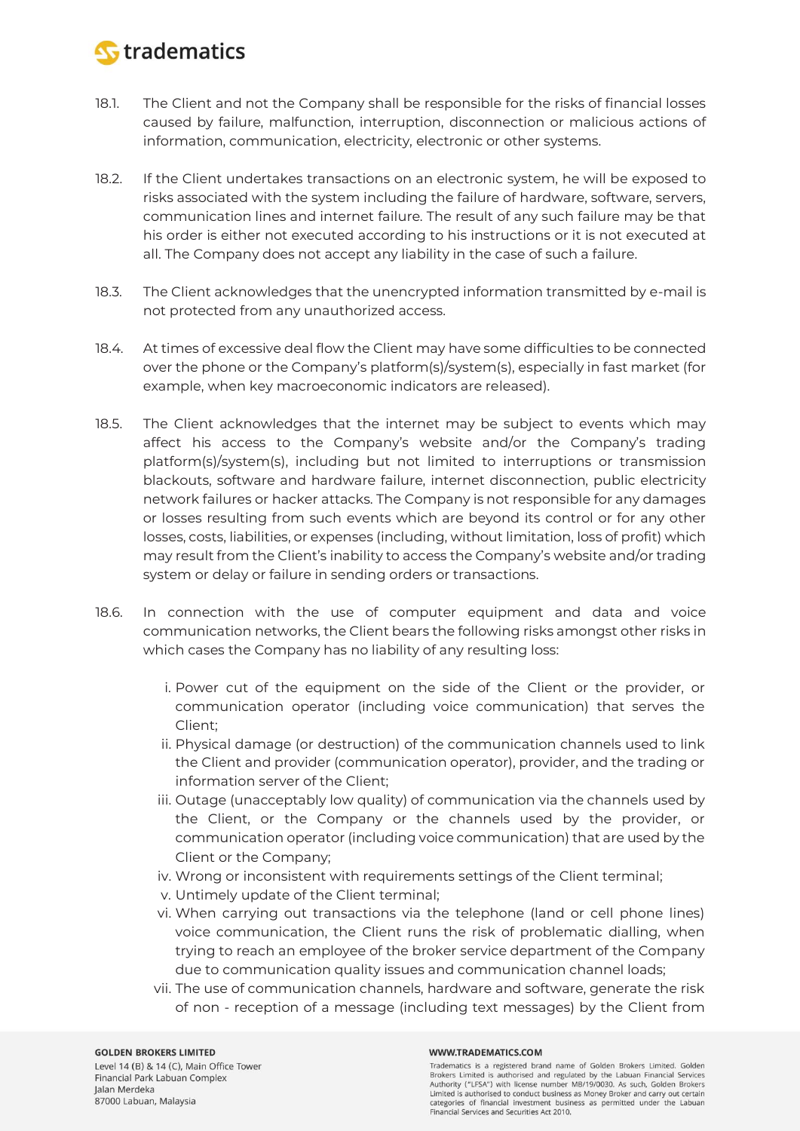

- 18.1. The Client and not the Company shall be responsible for the risks of financial losses caused by failure, malfunction, interruption, disconnection or malicious actions of information, communication, electricity, electronic or other systems.
- 18.2. If the Client undertakes transactions on an electronic system, he will be exposed to risks associated with the system including the failure of hardware, software, servers, communication lines and internet failure. The result of any such failure may be that his order is either not executed according to his instructions or it is not executed at all. The Company does not accept any liability in the case of such a failure.
- 18.3. The Client acknowledges that the unencrypted information transmitted by e-mail is not protected from any unauthorized access.
- 18.4. At times of excessive deal flow the Client may have some difficulties to be connected over the phone or the Company's platform(s)/system(s), especially in fast market (for example, when key macroeconomic indicators are released).
- 18.5. The Client acknowledges that the internet may be subject to events which may affect his access to the Company's website and/or the Company's trading platform(s)/system(s), including but not limited to interruptions or transmission blackouts, software and hardware failure, internet disconnection, public electricity network failures or hacker attacks. The Company is not responsible for any damages or losses resulting from such events which are beyond its control or for any other losses, costs, liabilities, or expenses (including, without limitation, loss of profit) which may result from the Client's inability to access the Company's website and/or trading system or delay or failure in sending orders or transactions.
- 18.6. In connection with the use of computer equipment and data and voice communication networks, the Client bears the following risks amongst other risks in which cases the Company has no liability of any resulting loss:
	- i. Power cut of the equipment on the side of the Client or the provider, or communication operator (including voice communication) that serves the Client;
	- ii. Physical damage (or destruction) of the communication channels used to link the Client and provider (communication operator), provider, and the trading or information server of the Client;
	- iii. Outage (unacceptably low quality) of communication via the channels used by the Client, or the Company or the channels used by the provider, or communication operator (including voice communication) that are used by the Client or the Company;
	- iv. Wrong or inconsistent with requirements settings of the Client terminal;
	- v. Untimely update of the Client terminal;
	- vi. When carrying out transactions via the telephone (land or cell phone lines) voice communication, the Client runs the risk of problematic dialling, when trying to reach an employee of the broker service department of the Company due to communication quality issues and communication channel loads;
	- vii. The use of communication channels, hardware and software, generate the risk of non - reception of a message (including text messages) by the Client from

#### **GOLDEN BROKERS LIMITED**

Level 14 (B) & 14 (C), Main Office Tower Financial Park Labuan Complex Jalan Merdeka 87000 Labuan, Malaysia

#### WWW.TRADEMATICS.COM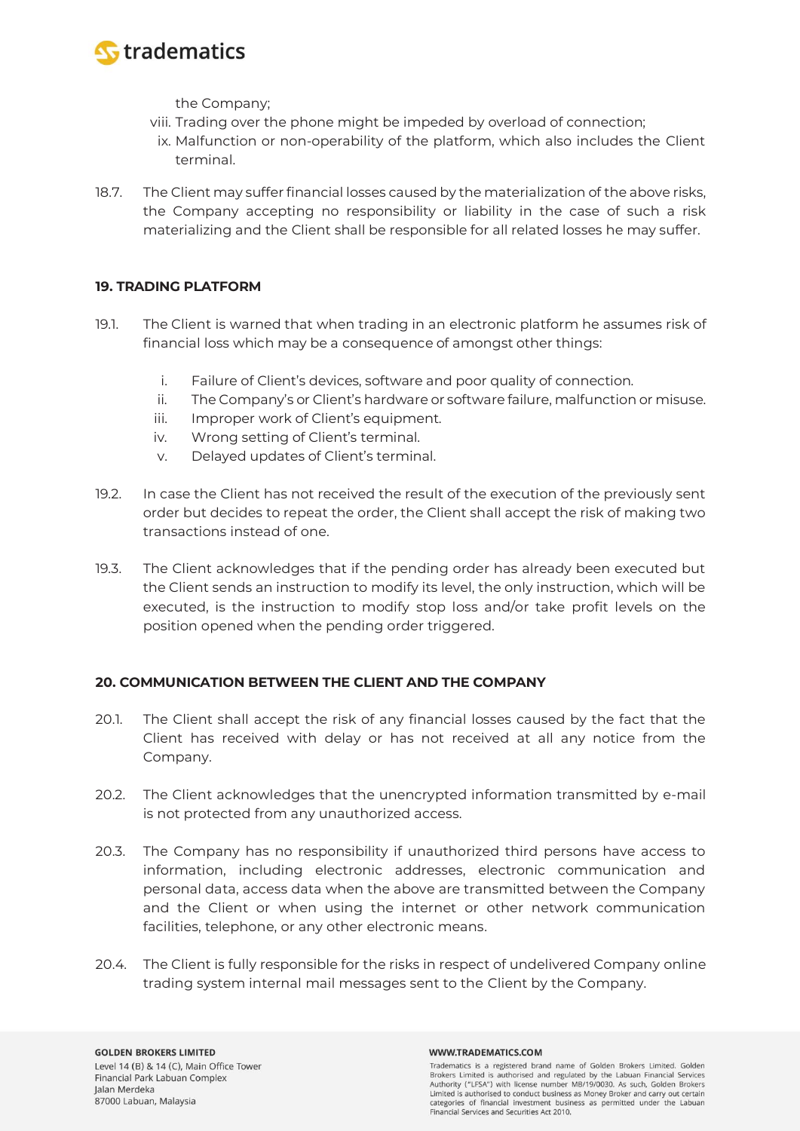

the Company;

- viii. Trading over the phone might be impeded by overload of connection;
- ix. Malfunction or non-operability of the platform, which also includes the Client terminal.
- 18.7. The Client may suffer financial losses caused by the materialization of the above risks, the Company accepting no responsibility or liability in the case of such a risk materializing and the Client shall be responsible for all related losses he may suffer.

# **19. TRADING PLATFORM**

- 19.1. The Client is warned that when trading in an electronic platform he assumes risk of financial loss which may be a consequence of amongst other things:
	- i. Failure of Client's devices, software and poor quality of connection.
	- ii. The Company's or Client's hardware or software failure, malfunction or misuse.
	- iii. Improper work of Client's equipment.
	- iv. Wrong setting of Client's terminal.
	- v. Delayed updates of Client's terminal.
- 19.2. In case the Client has not received the result of the execution of the previously sent order but decides to repeat the order, the Client shall accept the risk of making two transactions instead of one.
- 19.3. The Client acknowledges that if the pending order has already been executed but the Client sends an instruction to modify its level, the only instruction, which will be executed, is the instruction to modify stop loss and/or take profit levels on the position opened when the pending order triggered.

# **20. COMMUNICATION BETWEEN THE CLIENT AND THE COMPANY**

- 20.1. The Client shall accept the risk of any financial losses caused by the fact that the Client has received with delay or has not received at all any notice from the Company.
- 20.2. The Client acknowledges that the unencrypted information transmitted by e-mail is not protected from any unauthorized access.
- 20.3. The Company has no responsibility if unauthorized third persons have access to information, including electronic addresses, electronic communication and personal data, access data when the above are transmitted between the Company and the Client or when using the internet or other network communication facilities, telephone, or any other electronic means.
- 20.4. The Client is fully responsible for the risks in respect of undelivered Company online trading system internal mail messages sent to the Client by the Company.

#### WWW.TRADEMATICS.COM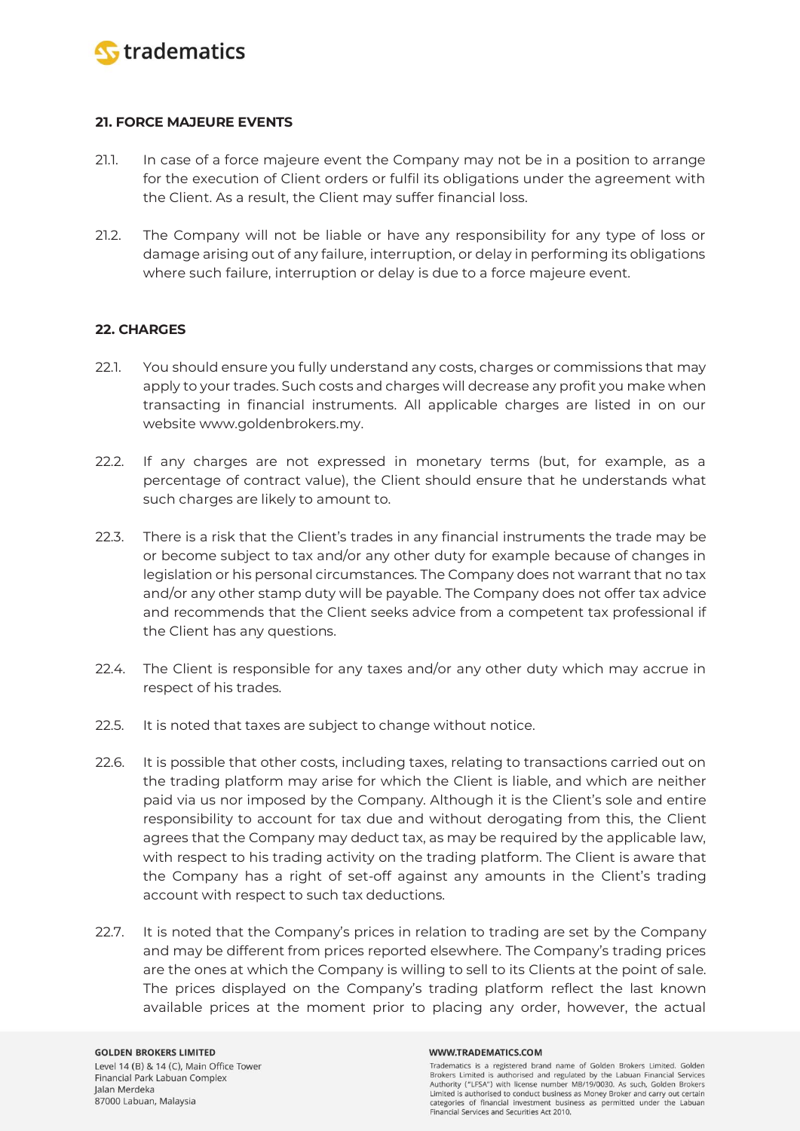

## **21. FORCE MAJEURE EVENTS**

- 21.1. In case of a force majeure event the Company may not be in a position to arrange for the execution of Client orders or fulfil its obligations under the agreement with the Client. As a result, the Client may suffer financial loss.
- 21.2. The Company will not be liable or have any responsibility for any type of loss or damage arising out of any failure, interruption, or delay in performing its obligations where such failure, interruption or delay is due to a force majeure event.

# **22. CHARGES**

- 22.1. You should ensure you fully understand any costs, charges or commissions that may apply to your trades. Such costs and charges will decrease any profit you make when transacting in financial instruments. All applicable charges are listed in on our website www.goldenbrokers.my.
- 22.2. If any charges are not expressed in monetary terms (but, for example, as a percentage of contract value), the Client should ensure that he understands what such charges are likely to amount to.
- 22.3. There is a risk that the Client's trades in any financial instruments the trade may be or become subject to tax and/or any other duty for example because of changes in legislation or his personal circumstances. The Company does not warrant that no tax and/or any other stamp duty will be payable. The Company does not offer tax advice and recommends that the Client seeks advice from a competent tax professional if the Client has any questions.
- 22.4. The Client is responsible for any taxes and/or any other duty which may accrue in respect of his trades.
- 22.5. It is noted that taxes are subject to change without notice.
- 22.6. It is possible that other costs, including taxes, relating to transactions carried out on the trading platform may arise for which the Client is liable, and which are neither paid via us nor imposed by the Company. Although it is the Client's sole and entire responsibility to account for tax due and without derogating from this, the Client agrees that the Company may deduct tax, as may be required by the applicable law, with respect to his trading activity on the trading platform. The Client is aware that the Company has a right of set-off against any amounts in the Client's trading account with respect to such tax deductions.
- 22.7. It is noted that the Company's prices in relation to trading are set by the Company and may be different from prices reported elsewhere. The Company's trading prices are the ones at which the Company is willing to sell to its Clients at the point of sale. The prices displayed on the Company's trading platform reflect the last known available prices at the moment prior to placing any order, however, the actual

#### WWW.TRADEMATICS.COM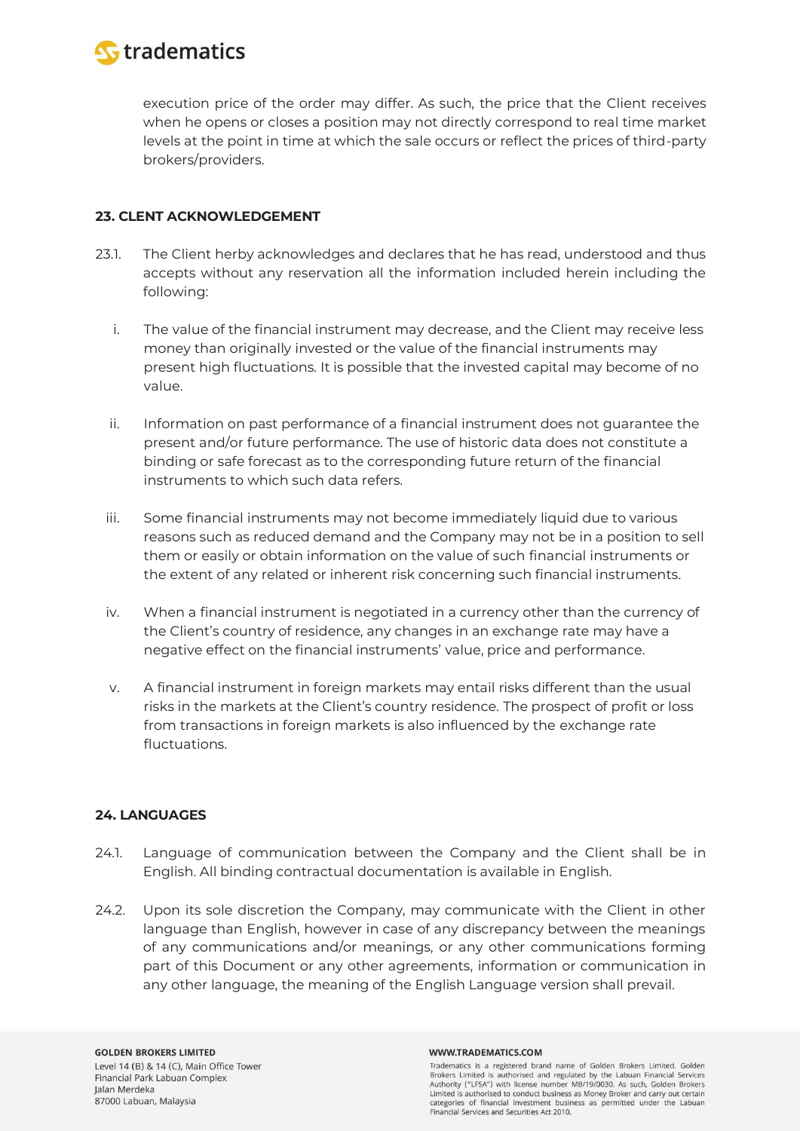

execution price of the order may differ. As such, the price that the Client receives when he opens or closes a position may not directly correspond to real time market levels at the point in time at which the sale occurs or reflect the prices of third-party brokers/providers.

# **23. CLENT ACKNOWLEDGEMENT**

- 23.1. The Client herby acknowledges and declares that he has read, understood and thus accepts without any reservation all the information included herein including the following:
	- i. The value of the financial instrument may decrease, and the Client may receive less money than originally invested or the value of the financial instruments may present high fluctuations. It is possible that the invested capital may become of no value.
	- ii. Information on past performance of a financial instrument does not guarantee the present and/or future performance. The use of historic data does not constitute a binding or safe forecast as to the corresponding future return of the financial instruments to which such data refers.
	- iii. Some financial instruments may not become immediately liquid due to various reasons such as reduced demand and the Company may not be in a position to sell them or easily or obtain information on the value of such financial instruments or the extent of any related or inherent risk concerning such financial instruments.
	- iv. When a financial instrument is negotiated in a currency other than the currency of the Client's country of residence, any changes in an exchange rate may have a negative effect on the financial instruments' value, price and performance.
	- v. A financial instrument in foreign markets may entail risks different than the usual risks in the markets at the Client's country residence. The prospect of profit or loss from transactions in foreign markets is also influenced by the exchange rate fluctuations.

# **24. LANGUAGES**

- 24.1. Language of communication between the Company and the Client shall be in English. All binding contractual documentation is available in English.
- 24.2. Upon its sole discretion the Company, may communicate with the Client in other language than English, however in case of any discrepancy between the meanings of any communications and/or meanings, or any other communications forming part of this Document or any other agreements, information or communication in any other language, the meaning of the English Language version shall prevail.

#### WWW.TRADEMATICS.COM